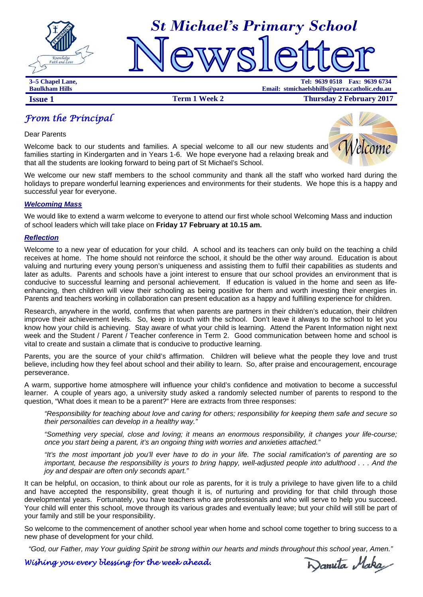



**3–5 Chapel Lane, Tel: 9639 0518 Fax: 9639 6734 Baulkham Hills Email: stmichaelsbhills@parra.catholic.edu.au**

**Issue 1 ISSUE 1 Term 1 Week 2 Thursday 2 February 2017** 

# *From the Principal*

Dear Parents

Welcome back to our students and families. A special welcome to all our new students and families starting in Kindergarten and in Years 1-6. We hope everyone had a relaxing break and that all the students are looking forward to being part of St Michael's School.



We welcome our new staff members to the school community and thank all the staff who worked hard during the holidays to prepare wonderful learning experiences and environments for their students. We hope this is a happy and successful year for everyone.

#### *Welcoming Mass*

We would like to extend a warm welcome to everyone to attend our first whole school Welcoming Mass and induction of school leaders which will take place on **Friday 17 February at 10.15 am.** 

#### *Reflection*

Welcome to a new year of education for your child. A school and its teachers can only build on the teaching a child receives at home. The home should not reinforce the school, it should be the other way around. Education is about valuing and nurturing every young person's uniqueness and assisting them to fulfil their capabilities as students and later as adults. Parents and schools have a joint interest to ensure that our school provides an environment that is conducive to successful learning and personal achievement. If education is valued in the home and seen as lifeenhancing, then children will view their schooling as being positive for them and worth investing their energies in. Parents and teachers working in collaboration can present education as a happy and fulfilling experience for children.

Research, anywhere in the world, confirms that when parents are partners in their children's education, their children improve their achievement levels. So, keep in touch with the school. Don't leave it always to the school to let you know how your child is achieving. Stay aware of what your child is learning. Attend the Parent Information night next week and the Student / Parent / Teacher conference in Term 2. Good communication between home and school is vital to create and sustain a climate that is conducive to productive learning.

Parents, you are the source of your child's affirmation. Children will believe what the people they love and trust believe, including how they feel about school and their ability to learn. So, after praise and encouragement, encourage perseverance.

A warm, supportive home atmosphere will influence your child's confidence and motivation to become a successful learner. A couple of years ago, a university study asked a randomly selected number of parents to respond to the question, "What does it mean to be a parent?" Here are extracts from three responses:

*"Responsibility for teaching about love and caring for others; responsibility for keeping them safe and secure so their personalities can develop in a healthy way."* 

*"Something very special, close and loving; it means an enormous responsibility, it changes your life-course; once you start being a parent, it's an ongoing thing with worries and anxieties attached."* 

*"It's the most important job you'll ever have to do in your life. The social ramification's of parenting are so important, because the responsibility is yours to bring happy, well-adjusted people into adulthood ...* And the *joy and despair are often only seconds apart."* 

It can be helpful, on occasion, to think about our role as parents, for it is truly a privilege to have given life to a child and have accepted the responsibility, great though it is, of nurturing and providing for that child through those developmental years. Fortunately, you have teachers who are professionals and who will serve to help you succeed. Your child will enter this school, move through its various grades and eventually leave; but your child will still be part of your family and still be your responsibility.

So welcome to the commencement of another school year when home and school come together to bring success to a new phase of development for your child.

*"God, our Father, may Your guiding Spirit be strong within our hearts and minds throughout this school year, Amen."* 

### *Wishing you every blessing for the week ahead.*

Danuta Maka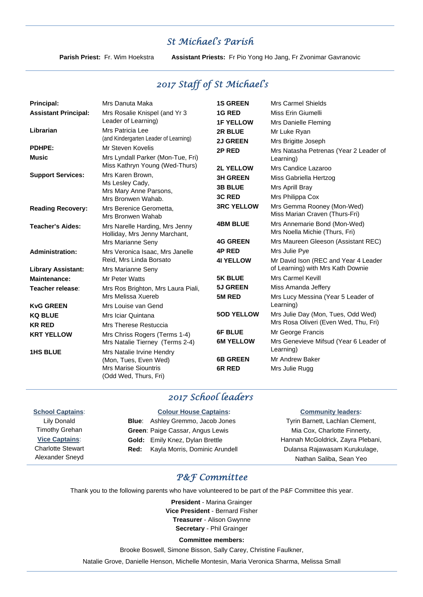### *St Michael's Parish*

**Parish Priest:** Fr. Wim Hoekstra **Assistant Priests:** Fr Pio Yong Ho Jang, Fr Zvonimar Gavranovic

## *2017 Staff of St Michael's*

| <b>Principal:</b>           | Mrs Danuta Maka                                                 | <b>1S GREEN</b>   | Mrs Carmel Shields                                             |
|-----------------------------|-----------------------------------------------------------------|-------------------|----------------------------------------------------------------|
| <b>Assistant Principal:</b> | Mrs Rosalie Knispel (and Yr 3                                   | 1G RED            | Miss Erin Giumelli                                             |
|                             | Leader of Learning)                                             | <b>1F YELLOW</b>  | Mrs Danielle Fleming                                           |
| Librarian                   | Mrs Patricia Lee                                                | 2R BLUE           | Mr Luke Ryan                                                   |
|                             | (and Kindergarten Leader of Learning)                           | <b>2J GREEN</b>   | Mrs Brigitte Joseph                                            |
| PDHPE:                      | Mr Steven Kovelis                                               | 2P RED            | Mrs Natasha Petrenas (Year 2 Leader of                         |
| <b>Music</b>                | Mrs Lyndall Parker (Mon-Tue, Fri)                               |                   | Learning)                                                      |
|                             | Miss Kathryn Young (Wed-Thurs)                                  | <b>2L YELLOW</b>  | Mrs Candice Lazaroo                                            |
| <b>Support Services:</b>    | Mrs Karen Brown.                                                | <b>3H GREEN</b>   | Miss Gabriella Hertzog                                         |
|                             | Ms Lesley Cady,<br>Mrs Mary Anne Parsons,<br>Mrs Bronwen Wahab. | <b>3B BLUE</b>    | Mrs Aprill Bray                                                |
|                             |                                                                 | <b>3C RED</b>     | Mrs Philippa Cox                                               |
| <b>Reading Recovery:</b>    | Mrs Berenice Gerometta,<br>Mrs Bronwen Wahab                    | <b>3RC YELLOW</b> | Mrs Gemma Rooney (Mon-Wed)                                     |
|                             |                                                                 |                   | Miss Marian Craven (Thurs-Fri)                                 |
| <b>Teacher's Aides:</b>     | Mrs Narelle Harding, Mrs Jenny<br>Holliday, Mrs Jenny Marchant, | <b>4BM BLUE</b>   | Mrs Annemarie Bond (Mon-Wed)<br>Mrs Noella Michie (Thurs, Fri) |
|                             | Mrs Marianne Seny                                               | <b>4G GREEN</b>   | Mrs Maureen Gleeson (Assistant REC)                            |
| <b>Administration:</b>      | Mrs Veronica Isaac, Mrs Janelle                                 | <b>4P RED</b>     | Mrs Julie Pye                                                  |
|                             | Reid, Mrs Linda Borsato                                         | <b>41 YELLOW</b>  | Mr David Ison (REC and Year 4 Leader                           |
| <b>Library Assistant:</b>   | Mrs Marianne Seny                                               |                   | of Learning) with Mrs Kath Downie                              |
| <b>Maintenance:</b>         | Mr Peter Watts                                                  | <b>5K BLUE</b>    | <b>Mrs Carmel Kevill</b>                                       |
| Teacher release:            | Mrs Ros Brighton, Mrs Laura Piali,                              | <b>5J GREEN</b>   | Miss Amanda Jeffery                                            |
|                             | Mrs Melissa Xuereb                                              | 5M RED            | Mrs Lucy Messina (Year 5 Leader of                             |
| <b>KyG GREEN</b>            | Mrs Louise van Gend                                             |                   | Learning)                                                      |
| <b>KQ BLUE</b>              | Mrs Iciar Quintana                                              | <b>5OD YELLOW</b> | Mrs Julie Day (Mon, Tues, Odd Wed)                             |
| <b>KR RED</b>               | Mrs Therese Restuccia                                           |                   | Mrs Rosa Oliveri (Even Wed, Thu, Fri)                          |
| <b>KRT YELLOW</b>           | Mrs Chriss Rogers (Terms 1-4)                                   | <b>6F BLUE</b>    | Mr George Francis                                              |
|                             | Mrs Natalie Tierney (Terms 2-4)                                 | <b>6M YELLOW</b>  | Mrs Genevieve Mifsud (Year 6 Leader of                         |
| <b>1HS BLUE</b>             | Mrs Natalie Irvine Hendry                                       |                   | Learning)                                                      |
|                             | (Mon, Tues, Even Wed)                                           | <b>6B GREEN</b>   | Mr Andrew Baker                                                |
|                             | <b>Mrs Marise Siountris</b><br>(Odd Wed, Thurs, Fri)            | 6R RED            | Mrs Julie Rugg                                                 |

### *2017 School leaders*

### **School Captains**:

Lily Donald Timothy Grehan **Vice Captains**: Charlotte Stewart Alexander Sneyd

**Colour House Captains: Blue**: Ashley Gremmo, Jacob Jones **Green**: Paige Cassar, Angus Lewis **Gold:** Emily Knez, Dylan Brettle **Red:** Kayla Morris, Dominic Arundell

#### **Community leaders:**

Tyrin Barnett, Lachlan Clement, Mia Cox, Charlotte Finnerty, Hannah McGoldrick, Zayra Plebani, Dulansa Rajawasam Kurukulage, Nathan Saliba, Sean Yeo

### *P&F Committee*

Thank you to the following parents who have volunteered to be part of the P&F Committee this year.

**President** - Marina Grainger **Vice President** - Bernard Fisher **Treasurer** - Alison Gwynne **Secretary** - Phil Grainger

#### **Committee members:**

Brooke Boswell, Simone Bisson, Sally Carey, Christine Faulkner,

Natalie Grove, Danielle Henson, Michelle Montesin, Maria Veronica Sharma, Melissa Small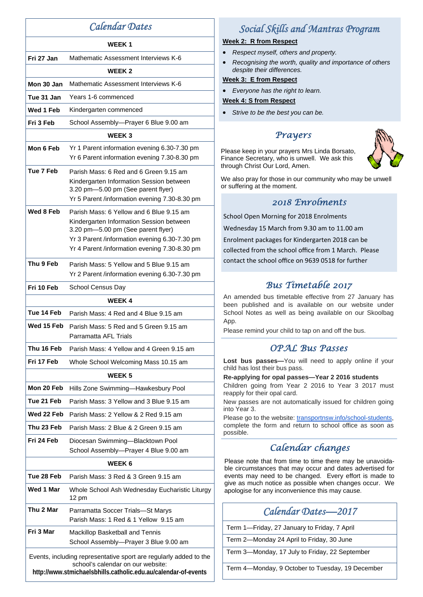# *Calendar Dates*

#### **WEEK 1**

|               | WEEK 1                                                                                                                                                                      |  |  |
|---------------|-----------------------------------------------------------------------------------------------------------------------------------------------------------------------------|--|--|
| Fri 27 Jan    | Mathematic Assessment Interviews K-6                                                                                                                                        |  |  |
|               | <b>WEEK 2</b>                                                                                                                                                               |  |  |
| Mon 30 Jan    | Mathematic Assessment Interviews K-6                                                                                                                                        |  |  |
| Tue 31 Jan    | Years 1-6 commenced                                                                                                                                                         |  |  |
| Wed 1 Feb     | Kindergarten commenced                                                                                                                                                      |  |  |
| Fri 3 Feb     | School Assembly-Prayer 6 Blue 9.00 am                                                                                                                                       |  |  |
|               | <b>WEEK3</b>                                                                                                                                                                |  |  |
| Mon 6 Feb     | Yr 1 Parent information evening 6.30-7.30 pm<br>Yr 6 Parent information evening 7.30-8.30 pm                                                                                |  |  |
| Tue 7 Feb     | Parish Mass: 6 Red and 6 Green 9.15 am<br>Kindergarten Information Session between<br>3.20 pm-5.00 pm (See parent flyer)<br>Yr 5 Parent /information evening 7.30-8.30 pm   |  |  |
| Wed 8 Feb     | Parish Mass: 6 Yellow and 6 Blue 9.15 am<br>Kindergarten Information Session between<br>3.20 pm-5.00 pm (See parent flyer)<br>Yr 3 Parent /information evening 6.30-7.30 pm |  |  |
| Thu 9 Feb     | Yr 4 Parent /information evening 7.30-8.30 pm<br>Parish Mass: 5 Yellow and 5 Blue 9.15 am<br>Yr 2 Parent /information evening 6.30-7.30 pm                                  |  |  |
| Fri 10 Feb    | School Census Day                                                                                                                                                           |  |  |
|               | <b>WEEK 4</b>                                                                                                                                                               |  |  |
| Tue 14 Feb    | Parish Mass: 4 Red and 4 Blue 9.15 am                                                                                                                                       |  |  |
| Wed 15 Feb    | Parish Mass: 5 Red and 5 Green 9.15 am<br>Parramatta AFL Trials                                                                                                             |  |  |
| Thu 16 Feb    | Parish Mass: 4 Yellow and 4 Green 9.15 am                                                                                                                                   |  |  |
| Fri 17 Feb    | Whole School Welcoming Mass 10.15 am                                                                                                                                        |  |  |
| <b>WEEK5</b>  |                                                                                                                                                                             |  |  |
| Mon 20 Feb    | Hills Zone Swimming-Hawkesbury Pool                                                                                                                                         |  |  |
| Tue 21 Feb    | Parish Mass: 3 Yellow and 3 Blue 9.15 am                                                                                                                                    |  |  |
| Wed 22 Feb    | Parish Mass: 2 Yellow & 2 Red 9.15 am                                                                                                                                       |  |  |
| Thu 23 Feb    | Parish Mass: 2 Blue & 2 Green 9.15 am                                                                                                                                       |  |  |
| Fri 24 Feb    | Diocesan Swimming-Blacktown Pool<br>School Assembly-Prayer 4 Blue 9.00 am                                                                                                   |  |  |
| <b>WEEK 6</b> |                                                                                                                                                                             |  |  |
| Tue 28 Feb    | Parish Mass: 3 Red & 3 Green 9.15 am                                                                                                                                        |  |  |
| Wed 1 Mar     | Whole School Ash Wednesday Eucharistic Liturgy<br>12 pm                                                                                                                     |  |  |
| Thu 2 Mar     | Parramatta Soccer Trials-St Marys<br>Parish Mass: 1 Red & 1 Yellow 9.15 am                                                                                                  |  |  |
| Fri 3 Mar     | Mackillop Basketball and Tennis<br>School Assembly-Prayer 3 Blue 9.00 am                                                                                                    |  |  |
|               | Events, including representative sport are regularly added to the<br>school's calendar on our website:                                                                      |  |  |

**http://www.stmichaelsbhills.catholic.edu.au/calendar-of-events** 

# *Social Skills and Mantras Program.*

### **Week 2: R from Respect**

- *Respect myself, others and property.*
- *Recognising the worth, quality and importance of others despite their differences.*

#### **Week 3: E from Respect**

*Everyone has the right to learn.* 

### **Week 4: S from Respect**

*Strive to be the best you can be.* 

### *Prayers*

Please keep in your prayers Mrs Linda Borsato, Finance Secretary, who is unwell. We ask this through Christ Our Lord, Amen.



We also pray for those in our community who may be unwell or suffering at the moment.

### *2018 Enrolments*

School Open Morning for 2018 Enrolments

Wednesday 15 March from 9.30 am to 11.00 am

Enrolment packages for Kindergarten 2018 can be collected from the school office from 1 March. Please contact the school office on 9639 0518 for further

# *Bus Timetable 2017*

An amended bus timetable effective from 27 January has been published and is available on our website under School Notes as well as being available on our Skoolbag App.

Please remind your child to tap on and off the bus.

### *OPAL Bus Passes*

Lost bus passes-You will need to apply online if your child has lost their bus pass.

**Re-applying for opal passes—Year 2 2016 students** 

Children going from Year 2 2016 to Year 3 2017 must reapply for their opal card.

New passes are not automatically issued for children going into Year 3.

Please go to the website: transportnsw.info/school-students, complete the form and return to school office as soon as possible.

# *Calendar changes*

Please note that from time to time there may be unavoidable circumstances that may occur and dates advertised for events may need to be changed. Every effort is made to give as much notice as possible when changes occur. We apologise for any inconvenience this may cause.

| Calendar Dates-2017                              |
|--------------------------------------------------|
| Term 1-Friday, 27 January to Friday, 7 April     |
| Term 2-Monday 24 April to Friday, 30 June        |
| Term 3-Monday, 17 July to Friday, 22 September   |
| Term 4-Monday, 9 October to Tuesday, 19 December |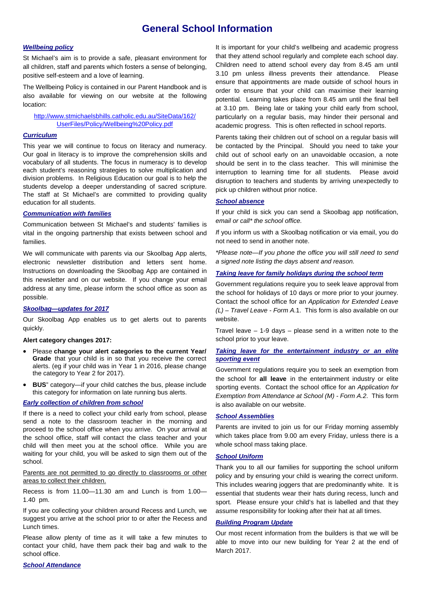### **General School Information**

#### *Wellbeing policy*

St Michael's aim is to provide a safe, pleasant environment for all children, staff and parents which fosters a sense of belonging, positive self-esteem and a love of learning.

The Wellbeing Policy is contained in our Parent Handbook and is also available for viewing on our website at the following location:

http://www.stmichaelsbhills.catholic.edu.au/SiteData/162/ UserFiles/Policy/Wellbeing%20Policy.pdf

#### *Curriculum*

This year we will continue to focus on literacy and numeracy. Our goal in literacy is to improve the comprehension skills and vocabulary of all students. The focus in numeracy is to develop each student's reasoning strategies to solve multiplication and division problems. In Religious Education our goal is to help the students develop a deeper understanding of sacred scripture. The staff at St Michael's are committed to providing quality education for all students.

#### *Communication with families*

Communication between St Michael's and students' families is vital in the ongoing partnership that exists between school and families.

We will communicate with parents via our Skoolbag App alerts, electronic newsletter distribution and letters sent home. Instructions on downloading the Skoolbag App are contained in this newsletter and on our website. If you change your email address at any time, please inform the school office as soon as possible.

#### *Skoolbag—updates for 2017*

Our Skoolbag App enables us to get alerts out to parents quickly.

#### **Alert category changes 2017:**

- Please **change your alert categories to the current Year/ Grade** that your child is in so that you receive the correct alerts. (eg if your child was in Year 1 in 2016, please change the category to Year 2 for 2017).
- **BUS**" category—if your child catches the bus, please include this category for information on late running bus alerts.

#### *Early collection of children from school*

If there is a need to collect your child early from school, please send a note to the classroom teacher in the morning and proceed to the school office when you arrive. On your arrival at the school office, staff will contact the class teacher and your child will then meet you at the school office. While you are waiting for your child, you will be asked to sign them out of the school.

#### Parents are not permitted to go directly to classrooms or other areas to collect their children.

Recess is from 11.00—11.30 am and Lunch is from 1.00— 1.40 pm.

If you are collecting your children around Recess and Lunch, we suggest you arrive at the school prior to or after the Recess and Lunch times.

Please allow plenty of time as it will take a few minutes to contact your child, have them pack their bag and walk to the school office.

It is important for your child's wellbeing and academic progress that they attend school regularly and complete each school day. Children need to attend school every day from 8.45 am until 3.10 pm unless illness prevents their attendance. Please ensure that appointments are made outside of school hours in order to ensure that your child can maximise their learning potential. Learning takes place from 8.45 am until the final bell at 3.10 pm. Being late or taking your child early from school, particularly on a regular basis, may hinder their personal and academic progress. This is often reflected in school reports.

Parents taking their children out of school on a regular basis will be contacted by the Principal. Should you need to take your child out of school early on an unavoidable occasion, a note should be sent in to the class teacher. This will minimise the interruption to learning time for all students. Please avoid disruption to teachers and students by arriving unexpectedly to pick up children without prior notice.

#### *School absence*

If your child is sick you can send a Skoolbag app notification, *email or call\* the school office.* 

*I*f you inform us with a Skoolbag notification or via email, you do not need to send in another note.

*\*Please note—If you phone the office you will still need to send a signed note listing the days absent and reason.* 

#### *Taking leave for family holidays during the school term*

Government regulations require you to seek leave approval from the school for holidays of 10 days or more prior to your journey. Contact the school office for an *Application for Extended Leave (L) – Travel Leave - Form A.*1. This form is also available on our website.

Travel leave  $-1$ -9 days  $-$  please send in a written note to the school prior to your leave.

#### *Taking leave for the entertainment industry or an elite sporting event*

Government regulations require you to seek an exemption from the school for **all leave** in the entertainment industry or elite sporting events. Contact the school office for an *Application for Exemption from Attendance at School (M) - Form A.2*. This form is also available on our website.

#### *School Assemblies*

Parents are invited to join us for our Friday morning assembly which takes place from 9.00 am every Friday, unless there is a whole school mass taking place.

#### *School Uniform*

Thank you to all our families for supporting the school uniform policy and by ensuring your child is wearing the correct uniform. This includes wearing joggers that are predominantly white. It is essential that students wear their hats during recess, lunch and sport. Please ensure your child's hat is labelled and that they assume responsibility for looking after their hat at all times.

#### *Building Program Update*

Our most recent information from the builders is that we will be able to move into our new building for Year 2 at the end of March 2017.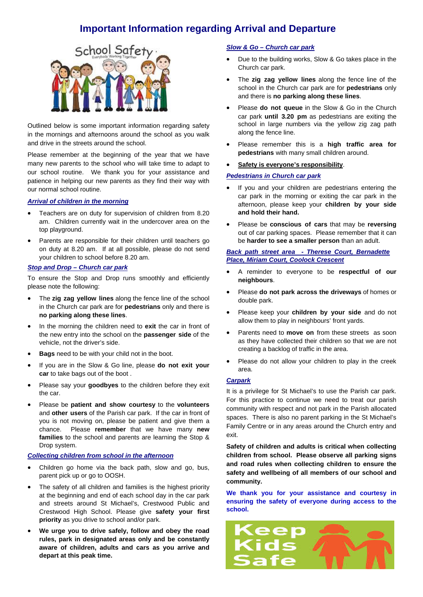# **Important Information regarding Arrival and Departure**



Outlined below is some important information regarding safety in the mornings and afternoons around the school as you walk and drive in the streets around the school.

Please remember at the beginning of the year that we have many new parents to the school who will take time to adapt to our school routine. We thank you for your assistance and patience in helping our new parents as they find their way with our normal school routine.

#### *Arrival of children in the morning*

- Teachers are on duty for supervision of children from 8.20 am. Children currently wait in the undercover area on the top playground.
- Parents are responsible for their children until teachers go on duty at 8.20 am. If at all possible, please do not send your children to school before 8.20 am.

#### *Stop and Drop – Church car park*

To ensure the Stop and Drop runs smoothly and efficiently please note the following:

- The **zig zag yellow lines** along the fence line of the school in the Church car park are for **pedestrians** only and there is **no parking along these lines**.
- In the morning the children need to **exit** the car in front of the new entry into the school on the **passenger side** of the vehicle, not the driver's side.
- **Bags** need to be with your child not in the boot.
- If you are in the Slow & Go line, please **do not exit your car** to take bags out of the boot .
- Please say your **goodbyes** to the children before they exit the car.
- Please be **patient and show courtesy** to the **volunteers** and **other users** of the Parish car park. If the car in front of you is not moving on, please be patient and give them a chance. Please **remember** that we have many **new families** to the school and parents are learning the Stop & Drop system.

*Collecting children from school in the afternoon* 

- Children go home via the back path, slow and go, bus, parent pick up or go to OOSH.
- The safety of all children and families is the highest priority at the beginning and end of each school day in the car park and streets around St Michael's, Crestwood Public and Crestwood High School. Please give **safety your first priority** as you drive to school and/or park.
- **We urge you to drive safely, follow and obey the road rules, park in designated areas only and be constantly aware of children, adults and cars as you arrive and depart at this peak time.**

#### *Slow & Go – Church car park*

- Due to the building works, Slow & Go takes place in the Church car park.
- The **zig zag yellow lines** along the fence line of the school in the Church car park are for **pedestrians** only and there is **no parking along these lines**.
- Please **do not queue** in the Slow & Go in the Church car park **until 3.20 pm** as pedestrians are exiting the school in large numbers via the yellow zig zag path along the fence line.
- Please remember this is a **high traffic area for pedestrians** with many small children around.
- **Safety is everyone's responsibility**.

#### *Pedestrians in Church car park*

- If you and your children are pedestrians entering the car park in the morning or exiting the car park in the afternoon, please keep your **children by your side and hold their hand.**
- Please be **conscious of cars** that may be **reversing** out of car parking spaces. Please remember that it can be **harder to see a smaller person** than an adult.

#### *Back path street area - Therese Court, Bernadette Place, Miriam Court, Coolock Crescent*

- A reminder to everyone to be **respectful of our neighbours**.
- Please **do not park across the driveways** of homes or double park.
- Please keep your **children by your side** and do not allow them to play in neighbours' front yards.
- Parents need to **move on** from these streets as soon as they have collected their children so that we are not creating a backlog of traffic in the area.
- Please do not allow your children to play in the creek area.

#### *Carpark*

It is a privilege for St Michael's to use the Parish car park. For this practice to continue we need to treat our parish community with respect and not park in the Parish allocated spaces. There is also no parent parking in the St Michael's Family Centre or in any areas around the Church entry and exit.

**Safety of children and adults is critical when collecting children from school. Please observe all parking signs and road rules when collecting children to ensure the safety and wellbeing of all members of our school and community.** 

**We thank you for your assistance and courtesy in ensuring the safety of everyone during access to the school.** 

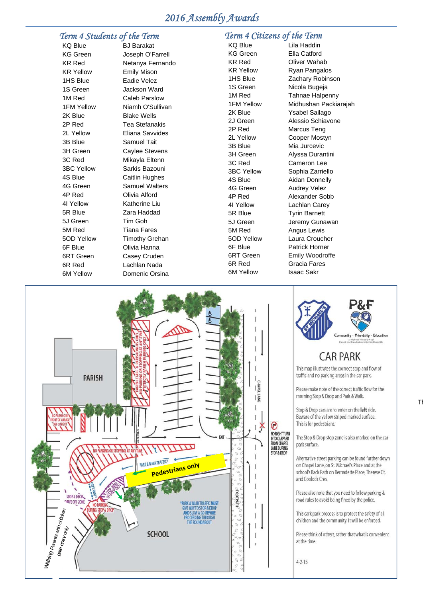### *2016 Assembly Awards*

# *Term 4 Students of the Term*

KR Yellow Emily Mison 1HS Blue **Eadie Velez** 2K Blue Blake Wells 3B Blue Samuel Tait 4P Red Olivia Alford 4I Yellow Katherine Liu 5R Blue Zara Haddad 5J Green Tim Goh 5M Red Tiana Fares 6F Blue Olivia Hanna

**BJ Barakat** KG Green Joseph O'Farrell KR Red Netanya Fernando 1S Green Jackson Ward 1M Red Caleb Parslow 1FM Yellow Niamh O'Sullivan 2P Red Tea Stefanakis 2L Yellow Eliana Savvides 3H Green Caylee Stevens 3C Red Mikayla Eltenn 3BC Yellow Sarkis Bazouni 4S Blue Caitlin Hughes 4G Green Samuel Walters 5OD Yellow Timothy Grehan 6RT Green Casey Cruden 6R Red Lachlan Nada 6M Yellow Domenic Orsina

# *Term 4 Citizens of the Term*

KG Green Ella Catford KR Red Oliver Wahab 2P Red Marcus Teng 3B Blue Mia Jurcevic 3C Red Cameron Lee 4G Green Audrey Velez 5R Blue Tyrin Barnett 5M Red Angus Lewis 6R Red Gracia Fares 6M Yellow Isaac Sakr

Lila Haddin KR Yellow Ryan Pangalos 1HS Blue Zachary Robinson 1S Green Nicola Bugeja 1M Red Tahnae Halpenny 1FM Yellow Midhushan Packiarajah 2K Blue Ysabel Sailago 2J Green Alessio Schiavone 2L Yellow Cooper Mostyn 3H Green Alyssa Durantini 3BC Yellow Sophia Zarriello 4S Blue **Aidan Donnelly** 4P Red Alexander Sobb 4I Yellow Lachlan Carey 5J Green Jeremy Gunawan 5OD Yellow Laura Croucher 6F Blue Patrick Horner 6RT Green Emily Woodroffe





# **CAR PARK**

This map illustrates the corrrect stop and flow of traffic and no parking areas in the car park.

Please make note of the correct traffic flow for the morning Stop & Drop and Park & Walk.

T<sub>1</sub>

Stop & Drop cars are to enter on the left side. Beware of the vellow striped marked surface. This is for pedestrians.

The Stop & Drop stop zone is also marked on the car park surface.

Alternative street parking can be found further down on Chapel Lane, on St. Michael's Place and at the school's Back Path on Bernadette Place, Therese Ct. and Coolock Cres

Please also note that you need to follow parking & road rules to avoid being fined by the police.

This cark park process is to protect the safety of all children and the community. It will be enforced.

Please think of others, rather that what is convenient at the time.

 $4 - 2 - 15$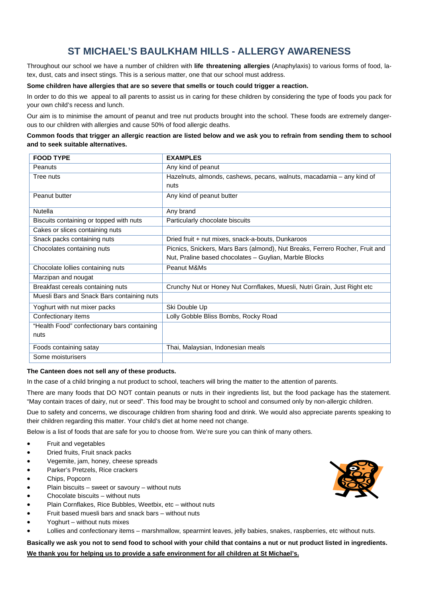## **ST MICHAEL'S BAULKHAM HILLS - ALLERGY AWARENESS**

Throughout our school we have a number of children with **life threatening allergies** (Anaphylaxis) to various forms of food, latex, dust, cats and insect stings. This is a serious matter, one that our school must address.

#### **Some children have allergies that are so severe that smells or touch could trigger a reaction.**

In order to do this we appeal to all parents to assist us in caring for these children by considering the type of foods you pack for your own child's recess and lunch.

Our aim is to minimise the amount of peanut and tree nut products brought into the school. These foods are extremely dangerous to our children with allergies and cause 50% of food allergic deaths.

#### **Common foods that trigger an allergic reaction are listed below and we ask you to refrain from sending them to school and to seek suitable alternatives.**

| <b>FOOD TYPE</b>                            | <b>EXAMPLES</b>                                                              |
|---------------------------------------------|------------------------------------------------------------------------------|
| Peanuts                                     | Any kind of peanut                                                           |
| Tree nuts                                   | Hazelnuts, almonds, cashews, pecans, walnuts, macadamia - any kind of        |
|                                             | nuts                                                                         |
| Peanut butter                               | Any kind of peanut butter                                                    |
| <b>Nutella</b>                              | Any brand                                                                    |
| Biscuits containing or topped with nuts     | Particularly chocolate biscuits                                              |
| Cakes or slices containing nuts             |                                                                              |
| Snack packs containing nuts                 | Dried fruit + nut mixes, snack-a-bouts, Dunkaroos                            |
| Chocolates containing nuts                  | Picnics, Snickers, Mars Bars (almond), Nut Breaks, Ferrero Rocher, Fruit and |
|                                             | Nut, Praline based chocolates - Guylian, Marble Blocks                       |
| Chocolate Iollies containing nuts           | Peanut M&Ms                                                                  |
| Marzipan and nougat                         |                                                                              |
| Breakfast cereals containing nuts           | Crunchy Nut or Honey Nut Cornflakes, Muesli, Nutri Grain, Just Right etc     |
| Muesli Bars and Snack Bars containing nuts  |                                                                              |
| Yoghurt with nut mixer packs                | Ski Double Up                                                                |
| Confectionary items                         | Lolly Gobble Bliss Bombs, Rocky Road                                         |
| "Health Food" confectionary bars containing |                                                                              |
| nuts                                        |                                                                              |
| Foods containing satay                      | Thai, Malaysian, Indonesian meals                                            |
| Some moisturisers                           |                                                                              |

#### **The Canteen does not sell any of these products.**

In the case of a child bringing a nut product to school, teachers will bring the matter to the attention of parents.

There are many foods that DO NOT contain peanuts or nuts in their ingredients list, but the food package has the statement. "May contain traces of dairy, nut or seed". This food may be brought to school and consumed only by non-allergic children.

Due to safety and concerns, we discourage children from sharing food and drink. We would also appreciate parents speaking to their children regarding this matter. Your child's diet at home need not change.

Below is a list of foods that are safe for you to choose from. We're sure you can think of many others.

- Fruit and vegetables
- Dried fruits, Fruit snack packs
- Vegemite, jam, honey, cheese spreads
- Parker's Pretzels, Rice crackers
- Chips, Popcorn
- Plain biscuits sweet or savoury without nuts
- Chocolate biscuits without nuts
- Plain Cornflakes, Rice Bubbles, Weetbix, etc without nuts
- Fruit based muesli bars and snack bars without nuts
- Yoghurt without nuts mixes
- Lollies and confectionary items marshmallow, spearmint leaves, jelly babies, snakes, raspberries, etc without nuts.

**Basically we ask you not to send food to school with your child that contains a nut or nut product listed in ingredients. We thank you for helping us to provide a safe environment for all children at St Michael's.**